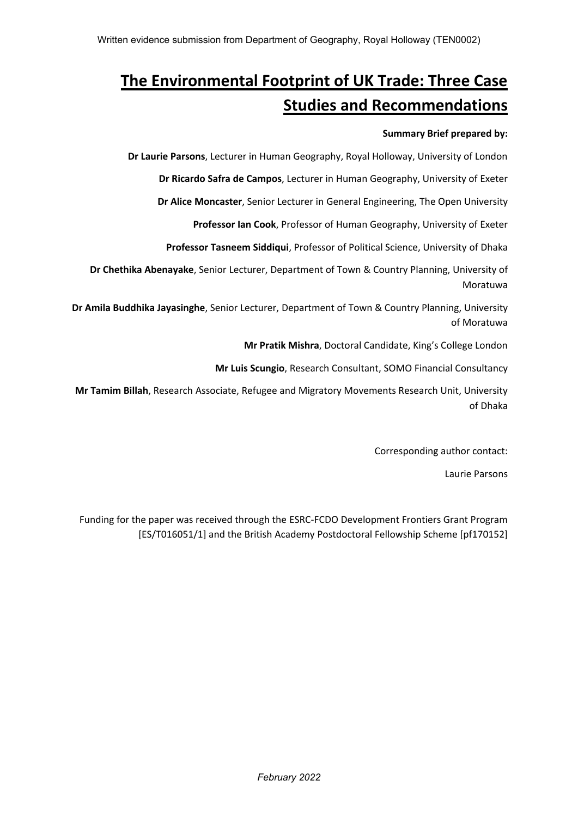# **The Environmental Footprint of UK Trade: Three Case Studies and Recommendations**

## **Summary Brief prepared by:**

**Dr Laurie Parsons**, Lecturer in Human Geography, Royal Holloway, University of London

**Dr Ricardo Safra de Campos**, Lecturer in Human Geography, University of Exeter

**Dr Alice Moncaster**, Senior Lecturer in General Engineering, The Open University

**Professor Ian Cook**, Professor of Human Geography, University of Exeter

**Professor Tasneem Siddiqui**, Professor of Political Science, University of Dhaka

**Dr Chethika Abenayake**, Senior Lecturer, Department of Town & Country Planning, University of Moratuwa

**Dr Amila Buddhika Jayasinghe**, Senior Lecturer, Department of Town & Country Planning, University of Moratuwa

**Mr Pratik Mishra**, Doctoral Candidate, King's College London

**Mr Luis Scungio**, Research Consultant, SOMO Financial Consultancy

**Mr Tamim Billah**, Research Associate, Refugee and Migratory Movements Research Unit, University of Dhaka

Corresponding author contact:

Laurie Parsons

Funding for the paper was received through the ESRC-FCDO Development Frontiers Grant Program [ES/T016051/1] and the British Academy Postdoctoral Fellowship Scheme [pf170152]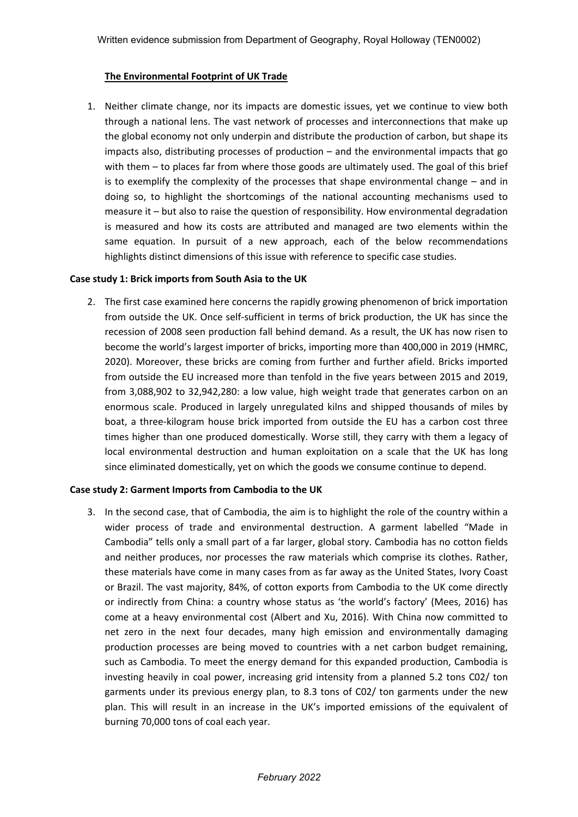## **The Environmental Footprint of UK Trade**

1. Neither climate change, nor its impacts are domestic issues, yet we continue to view both through a national lens. The vast network of processes and interconnections that make up the global economy not only underpin and distribute the production of carbon, but shape its impacts also, distributing processes of production – and the environmental impacts that go with them – to places far from where those goods are ultimately used. The goal of this brief is to exemplify the complexity of the processes that shape environmental change – and in doing so, to highlight the shortcomings of the national accounting mechanisms used to measure it – but also to raise the question of responsibility. How environmental degradation is measured and how its costs are attributed and managed are two elements within the same equation. In pursuit of a new approach, each of the below recommendations highlights distinct dimensions of this issue with reference to specific case studies.

## **Case study 1: Brick imports from South Asia to the UK**

2. The first case examined here concerns the rapidly growing phenomenon of brick importation from outside the UK. Once self-sufficient in terms of brick production, the UK has since the recession of 2008 seen production fall behind demand. As a result, the UK has now risen to become the world's largest importer of bricks, importing more than 400,000 in 2019 (HMRC, 2020). Moreover, these bricks are coming from further and further afield. Bricks imported from outside the EU increased more than tenfold in the five years between 2015 and 2019, from 3,088,902 to 32,942,280: a low value, high weight trade that generates carbon on an enormous scale. Produced in largely unregulated kilns and shipped thousands of miles by boat, a three-kilogram house brick imported from outside the EU has a carbon cost three times higher than one produced domestically. Worse still, they carry with them a legacy of local environmental destruction and human exploitation on a scale that the UK has long since eliminated domestically, yet on which the goods we consume continue to depend.

## **Case study 2: Garment Imports from Cambodia to the UK**

3. In the second case, that of Cambodia, the aim is to highlight the role of the country within a wider process of trade and environmental destruction. A garment labelled "Made in Cambodia" tells only a small part of a far larger, global story. Cambodia has no cotton fields and neither produces, nor processes the raw materials which comprise its clothes. Rather, these materials have come in many cases from as far away as the United States, Ivory Coast or Brazil. The vast majority, 84%, of cotton exports from Cambodia to the UK come directly or indirectly from China: a country whose status as 'the world's factory' (Mees, 2016) has come at a heavy environmental cost (Albert and Xu, 2016). With China now committed to net zero in the next four decades, many high emission and environmentally damaging production processes are being moved to countries with a net carbon budget remaining, such as Cambodia. To meet the energy demand for this expanded production, Cambodia is investing heavily in coal power, increasing grid intensity from a planned 5.2 tons C02/ ton garments under its previous energy plan, to 8.3 tons of C02/ ton garments under the new plan. This will result in an increase in the UK's imported emissions of the equivalent of burning 70,000 tons of coal each year.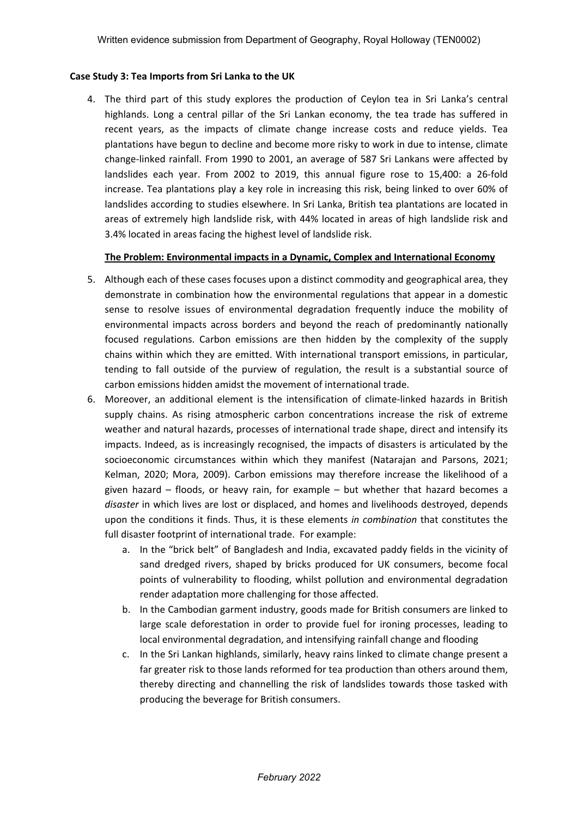## **Case Study 3: Tea Imports from Sri Lanka to the UK**

4. The third part of this study explores the production of Ceylon tea in Sri Lanka's central highlands. Long a central pillar of the Sri Lankan economy, the tea trade has suffered in recent years, as the impacts of climate change increase costs and reduce yields. Tea plantations have begun to decline and become more risky to work in due to intense, climate change-linked rainfall. From 1990 to 2001, an average of 587 Sri Lankans were affected by landslides each year. From 2002 to 2019, this annual figure rose to 15,400: a 26-fold increase. Tea plantations play a key role in increasing this risk, being linked to over 60% of landslides according to studies elsewhere. In Sri Lanka, British tea plantations are located in areas of extremely high landslide risk, with 44% located in areas of high landslide risk and 3.4% located in areas facing the highest level of landslide risk.

#### **The Problem: Environmental impacts in a Dynamic, Complex and International Economy**

- 5. Although each of these cases focuses upon a distinct commodity and geographical area, they demonstrate in combination how the environmental regulations that appear in a domestic sense to resolve issues of environmental degradation frequently induce the mobility of environmental impacts across borders and beyond the reach of predominantly nationally focused regulations. Carbon emissions are then hidden by the complexity of the supply chains within which they are emitted. With international transport emissions, in particular, tending to fall outside of the purview of regulation, the result is a substantial source of carbon emissions hidden amidst the movement of international trade.
- 6. Moreover, an additional element is the intensification of climate-linked hazards in British supply chains. As rising atmospheric carbon concentrations increase the risk of extreme weather and natural hazards, processes of international trade shape, direct and intensify its impacts. Indeed, as is increasingly recognised, the impacts of disasters is articulated by the socioeconomic circumstances within which they manifest (Natarajan and Parsons, 2021; Kelman, 2020; Mora, 2009). Carbon emissions may therefore increase the likelihood of a given hazard – floods, or heavy rain, for example – but whether that hazard becomes a *disaster* in which lives are lost or displaced, and homes and livelihoods destroyed, depends upon the conditions it finds. Thus, it is these elements *in combination* that constitutes the full disaster footprint of international trade. For example:
	- a. In the "brick belt" of Bangladesh and India, excavated paddy fields in the vicinity of sand dredged rivers, shaped by bricks produced for UK consumers, become focal points of vulnerability to flooding, whilst pollution and environmental degradation render adaptation more challenging for those affected.
	- b. In the Cambodian garment industry, goods made for British consumers are linked to large scale deforestation in order to provide fuel for ironing processes, leading to local environmental degradation, and intensifying rainfall change and flooding
	- c. In the Sri Lankan highlands, similarly, heavy rains linked to climate change present a far greater risk to those lands reformed for tea production than others around them, thereby directing and channelling the risk of landslides towards those tasked with producing the beverage for British consumers.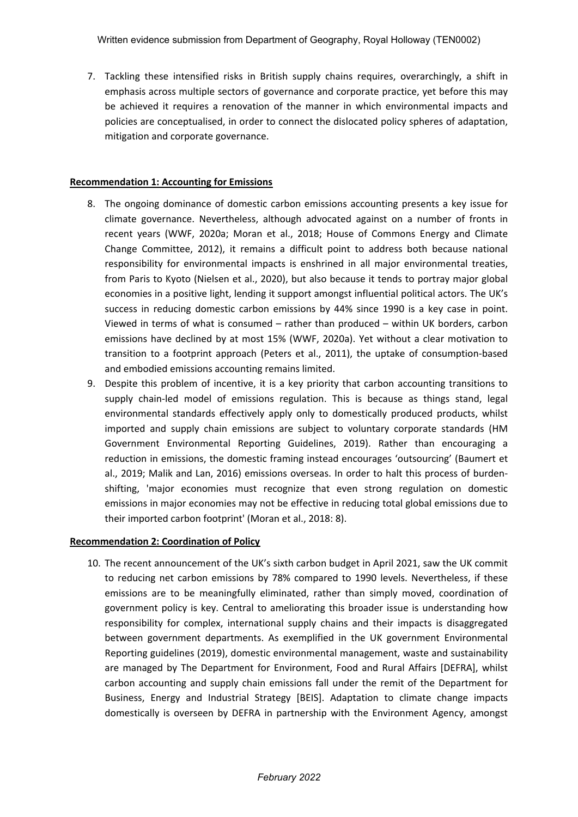7. Tackling these intensified risks in British supply chains requires, overarchingly, a shift in emphasis across multiple sectors of governance and corporate practice, yet before this may be achieved it requires a renovation of the manner in which environmental impacts and policies are conceptualised, in order to connect the dislocated policy spheres of adaptation, mitigation and corporate governance.

## **Recommendation 1: Accounting for Emissions**

- 8. The ongoing dominance of domestic carbon emissions accounting presents a key issue for climate governance. Nevertheless, although advocated against on a number of fronts in recent years (WWF, 2020a; Moran et al., 2018; House of Commons Energy and Climate Change Committee, 2012), it remains a difficult point to address both because national responsibility for environmental impacts is enshrined in all major environmental treaties, from Paris to Kyoto (Nielsen et al., 2020), but also because it tends to portray major global economies in a positive light, lending it support amongst influential political actors. The UK's success in reducing domestic carbon emissions by 44% since 1990 is a key case in point. Viewed in terms of what is consumed – rather than produced – within UK borders, carbon emissions have declined by at most 15% (WWF, 2020a). Yet without a clear motivation to transition to a footprint approach (Peters et al., 2011), the uptake of consumption-based and embodied emissions accounting remains limited.
- 9. Despite this problem of incentive, it is a key priority that carbon accounting transitions to supply chain-led model of emissions regulation. This is because as things stand, legal environmental standards effectively apply only to domestically produced products, whilst imported and supply chain emissions are subject to voluntary corporate standards (HM Government Environmental Reporting Guidelines, 2019). Rather than encouraging a reduction in emissions, the domestic framing instead encourages 'outsourcing' (Baumert et al., 2019; Malik and Lan, 2016) emissions overseas. In order to halt this process of burdenshifting, 'major economies must recognize that even strong regulation on domestic emissions in major economies may not be effective in reducing total global emissions due to their imported carbon footprint' (Moran et al., 2018: 8).

## **Recommendation 2: Coordination of Policy**

10. The recent announcement of the UK's sixth carbon budget in April 2021, saw the UK commit to reducing net carbon emissions by 78% compared to 1990 levels. Nevertheless, if these emissions are to be meaningfully eliminated, rather than simply moved, coordination of government policy is key. Central to ameliorating this broader issue is understanding how responsibility for complex, international supply chains and their impacts is disaggregated between government departments. As exemplified in the UK government Environmental Reporting guidelines (2019), domestic environmental management, waste and sustainability are managed by The Department for Environment, Food and Rural Affairs [DEFRA], whilst carbon accounting and supply chain emissions fall under the remit of the Department for Business, Energy and Industrial Strategy [BEIS]. Adaptation to climate change impacts domestically is overseen by DEFRA in partnership with the Environment Agency, amongst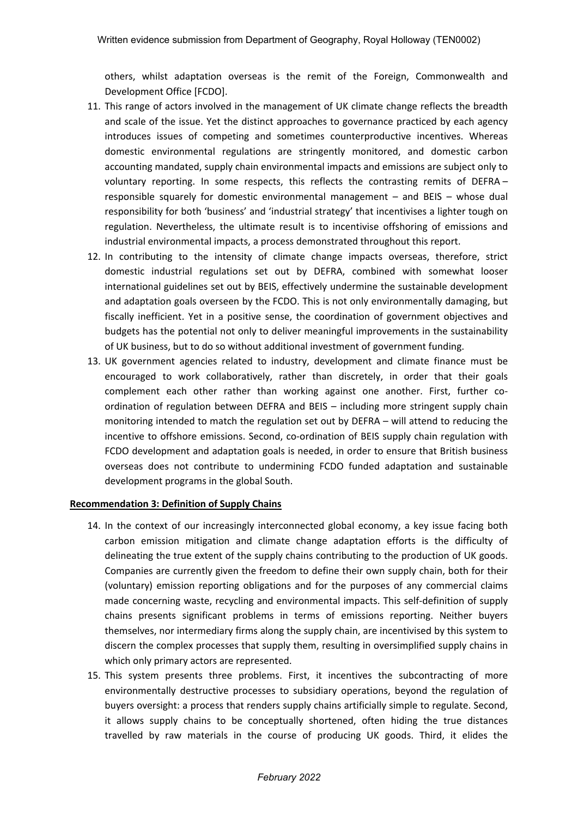others, whilst adaptation overseas is the remit of the Foreign, Commonwealth and Development Office [FCDO].

- 11. This range of actors involved in the management of UK climate change reflects the breadth and scale of the issue. Yet the distinct approaches to governance practiced by each agency introduces issues of competing and sometimes counterproductive incentives. Whereas domestic environmental regulations are stringently monitored, and domestic carbon accounting mandated, supply chain environmental impacts and emissions are subject only to voluntary reporting. In some respects, this reflects the contrasting remits of DEFRA – responsible squarely for domestic environmental management – and BEIS – whose dual responsibility for both 'business' and 'industrial strategy' that incentivises a lighter tough on regulation. Nevertheless, the ultimate result is to incentivise offshoring of emissions and industrial environmental impacts, a process demonstrated throughout this report.
- 12. In contributing to the intensity of climate change impacts overseas, therefore, strict domestic industrial regulations set out by DEFRA, combined with somewhat looser international guidelines set out by BEIS, effectively undermine the sustainable development and adaptation goals overseen by the FCDO. This is not only environmentally damaging, but fiscally inefficient. Yet in a positive sense, the coordination of government objectives and budgets has the potential not only to deliver meaningful improvements in the sustainability of UK business, but to do so without additional investment of government funding.
- 13. UK government agencies related to industry, development and climate finance must be encouraged to work collaboratively, rather than discretely, in order that their goals complement each other rather than working against one another. First, further coordination of regulation between DEFRA and BEIS – including more stringent supply chain monitoring intended to match the regulation set out by DEFRA – will attend to reducing the incentive to offshore emissions. Second, co-ordination of BEIS supply chain regulation with FCDO development and adaptation goals is needed, in order to ensure that British business overseas does not contribute to undermining FCDO funded adaptation and sustainable development programs in the global South.

## **Recommendation 3: Definition of Supply Chains**

- 14. In the context of our increasingly interconnected global economy, a key issue facing both carbon emission mitigation and climate change adaptation efforts is the difficulty of delineating the true extent of the supply chains contributing to the production of UK goods. Companies are currently given the freedom to define their own supply chain, both for their (voluntary) emission reporting obligations and for the purposes of any commercial claims made concerning waste, recycling and environmental impacts. This self-definition of supply chains presents significant problems in terms of emissions reporting. Neither buyers themselves, nor intermediary firms along the supply chain, are incentivised by this system to discern the complex processes that supply them, resulting in oversimplified supply chains in which only primary actors are represented.
- 15. This system presents three problems. First, it incentives the subcontracting of more environmentally destructive processes to subsidiary operations, beyond the regulation of buyers oversight: a process that renders supply chains artificially simple to regulate. Second, it allows supply chains to be conceptually shortened, often hiding the true distances travelled by raw materials in the course of producing UK goods. Third, it elides the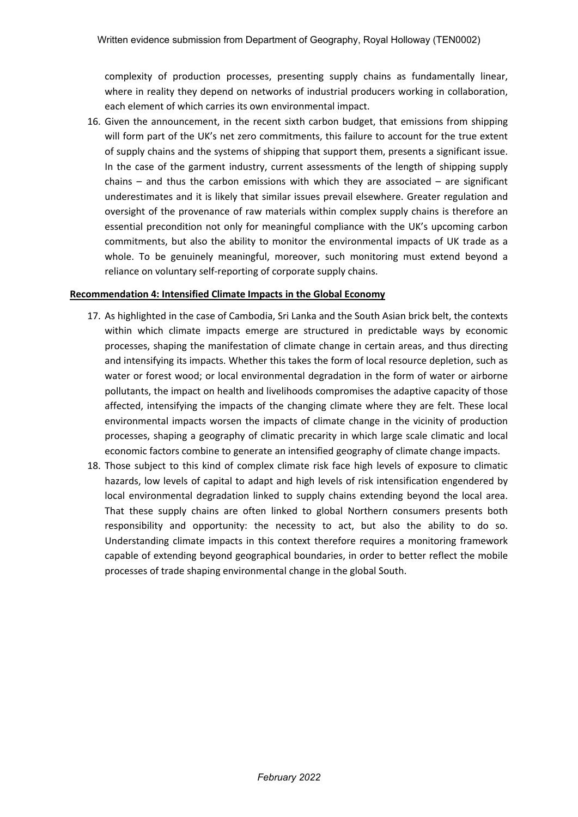complexity of production processes, presenting supply chains as fundamentally linear, where in reality they depend on networks of industrial producers working in collaboration, each element of which carries its own environmental impact.

16. Given the announcement, in the recent sixth carbon budget, that emissions from shipping will form part of the UK's net zero commitments, this failure to account for the true extent of supply chains and the systems of shipping that support them, presents a significant issue. In the case of the garment industry, current assessments of the length of shipping supply chains  $-$  and thus the carbon emissions with which they are associated  $-$  are significant underestimates and it is likely that similar issues prevail elsewhere. Greater regulation and oversight of the provenance of raw materials within complex supply chains is therefore an essential precondition not only for meaningful compliance with the UK's upcoming carbon commitments, but also the ability to monitor the environmental impacts of UK trade as a whole. To be genuinely meaningful, moreover, such monitoring must extend beyond a reliance on voluntary self-reporting of corporate supply chains.

## **Recommendation 4: Intensified Climate Impacts in the Global Economy**

- 17. As highlighted in the case of Cambodia, Sri Lanka and the South Asian brick belt, the contexts within which climate impacts emerge are structured in predictable ways by economic processes, shaping the manifestation of climate change in certain areas, and thus directing and intensifying its impacts. Whether this takes the form of local resource depletion, such as water or forest wood; or local environmental degradation in the form of water or airborne pollutants, the impact on health and livelihoods compromises the adaptive capacity of those affected, intensifying the impacts of the changing climate where they are felt. These local environmental impacts worsen the impacts of climate change in the vicinity of production processes, shaping a geography of climatic precarity in which large scale climatic and local economic factors combine to generate an intensified geography of climate change impacts.
- 18. Those subject to this kind of complex climate risk face high levels of exposure to climatic hazards, low levels of capital to adapt and high levels of risk intensification engendered by local environmental degradation linked to supply chains extending beyond the local area. That these supply chains are often linked to global Northern consumers presents both responsibility and opportunity: the necessity to act, but also the ability to do so. Understanding climate impacts in this context therefore requires a monitoring framework capable of extending beyond geographical boundaries, in order to better reflect the mobile processes of trade shaping environmental change in the global South.